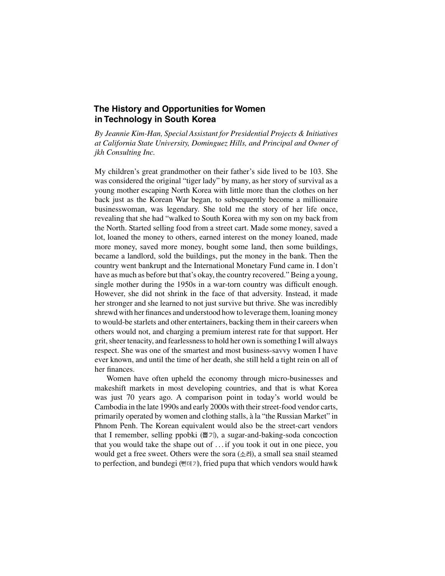# **The History and Opportunities for Women in Technology in South Korea**

*By Jeannie Kim-Han, Special Assistant for Presidential Projects & Initiatives at California State University, Dominguez Hills, and Principal and Owner of jkh Consulting Inc.*

My children's great grandmother on their father's side lived to be 103. She was considered the original "tiger lady" by many, as her story of survival as a young mother escaping North Korea with little more than the clothes on her back just as the Korean War began, to subsequently become a millionaire businesswoman, was legendary. She told me the story of her life once, revealing that she had "walked to South Korea with my son on my back from the North. Started selling food from a street cart. Made some money, saved a lot, loaned the money to others, earned interest on the money loaned, made more money, saved more money, bought some land, then some buildings, became a landlord, sold the buildings, put the money in the bank. Then the country went bankrupt and the International Monetary Fund came in. I don't have as much as before but that's okay, the country recovered." Being a young, single mother during the 1950s in a war-torn country was difficult enough. However, she did not shrink in the face of that adversity. Instead, it made her stronger and she learned to not just survive but thrive. She was incredibly shrewd with her finances and understood how to leverage them, loaning money to would-be starlets and other entertainers, backing them in their careers when others would not, and charging a premium interest rate for that support. Her grit, sheer tenacity, and fearlessness to hold her own is something I will always respect. She was one of the smartest and most business-savvy women I have ever known, and until the time of her death, she still held a tight rein on all of her finances.

Women have often upheld the economy through micro-businesses and makeshift markets in most developing countries, and that is what Korea was just 70 years ago. A comparison point in today's world would be Cambodia in the late 1990s and early 2000s with their street-food vendor carts, primarily operated by women and clothing stalls, à la "the Russian Market" in Phnom Penh. The Korean equivalent would also be the street-cart vendors that I remember, selling ppobki  $(\frac{\mathbb{H}}{7})$ , a sugar-and-baking-soda concoction that you would take the shape out of . . . if you took it out in one piece, you would get a free sweet. Others were the sora  $(\triangle$   $\exists$ ), a small sea snail steamed to perfection, and bundegi ( $\text{H} \boxtimes \text{H}$ ), fried pupa that which vendors would hawk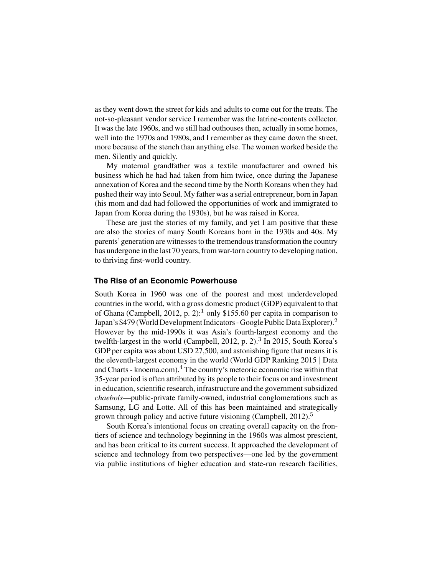as they went down the street for kids and adults to come out for the treats. The not-so-pleasant vendor service I remember was the latrine-contents collector. It was the late 1960s, and we still had outhouses then, actually in some homes, well into the 1970s and 1980s, and I remember as they came down the street, more because of the stench than anything else. The women worked beside the men. Silently and quickly.

My maternal grandfather was a textile manufacturer and owned his business which he had had taken from him twice, once during the Japanese annexation of Korea and the second time by the North Koreans when they had pushed their way into Seoul. My father was a serial entrepreneur, born in Japan (his mom and dad had followed the opportunities of work and immigrated to Japan from Korea during the 1930s), but he was raised in Korea.

These are just the stories of my family, and yet I am positive that these are also the stories of many South Koreans born in the 1930s and 40s. My parents'generation are witnesses to the tremendous transformation the country has undergone in the last 70 years, from war-torn country to developing nation, to thriving first-world country.

#### **The Rise of an Economic Powerhouse**

South Korea in 1960 was one of the poorest and most underdeveloped countries in the world, with a gross domestic product (GDP) equivalent to that of Ghana (Campbell, 2012, p. 2):<sup>1</sup> only \$155.60 per capita in comparison to Japan's \$479 (World Development Indicators - Google Public Data Explorer).<sup>2</sup> However by the mid-1990s it was Asia's fourth-largest economy and the twelfth-largest in the world (Campbell, 2012, p. 2).<sup>3</sup> In 2015, South Korea's GDP per capita was about USD 27,500, and astonishing figure that means it is the eleventh-largest economy in the world (World GDP Ranking 2015 | Data and Charts - knoema.com).<sup>4</sup> The country's meteoric economic rise within that 35-year period is often attributed by its people to their focus on and investment in education, scientific research, infrastructure and the government subsidized *chaebols*—public-private family-owned, industrial conglomerations such as Samsung, LG and Lotte. All of this has been maintained and strategically grown through policy and active future visioning (Campbell,  $2012$ ).<sup>5</sup>

South Korea's intentional focus on creating overall capacity on the frontiers of science and technology beginning in the 1960s was almost prescient, and has been critical to its current success. It approached the development of science and technology from two perspectives—one led by the government via public institutions of higher education and state-run research facilities,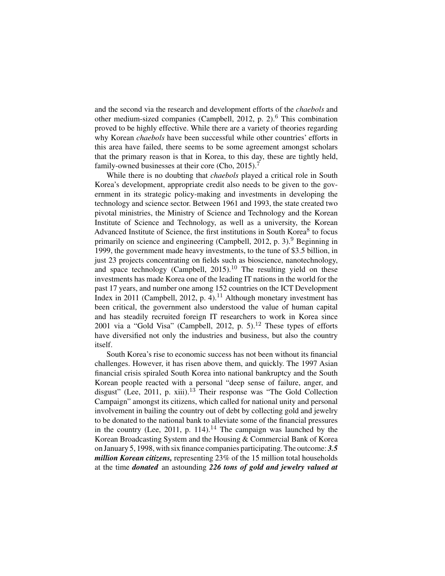and the second via the research and development efforts of the *chaebols* and other medium-sized companies (Campbell, 2012, p.  $2$ ).<sup>6</sup> This combination proved to be highly effective. While there are a variety of theories regarding why Korean *chaebols* have been successful while other countries' efforts in this area have failed, there seems to be some agreement amongst scholars that the primary reason is that in Korea, to this day, these are tightly held, family-owned businesses at their core (Cho, 2015).<sup>7</sup>

While there is no doubting that *chaebols* played a critical role in South Korea's development, appropriate credit also needs to be given to the government in its strategic policy-making and investments in developing the technology and science sector. Between 1961 and 1993, the state created two pivotal ministries, the Ministry of Science and Technology and the Korean Institute of Science and Technology, as well as a university, the Korean Advanced Institute of Science, the first institutions in South Korea $8$  to focus primarily on science and engineering (Campbell, 2012, p. 3).<sup>9</sup> Beginning in 1999, the government made heavy investments, to the tune of \$3.5 billion, in just 23 projects concentrating on fields such as bioscience, nanotechnology, and space technology (Campbell,  $2015$ ).<sup>10</sup> The resulting yield on these investments has made Korea one of the leading IT nations in the world for the past 17 years, and number one among 152 countries on the ICT Development Index in 2011 (Campbell, 2012, p.  $4$ ).<sup>11</sup> Although monetary investment has been critical, the government also understood the value of human capital and has steadily recruited foreign IT researchers to work in Korea since 2001 via a "Gold Visa" (Campbell, 2012, p. 5).<sup>12</sup> These types of efforts have diversified not only the industries and business, but also the country itself.

South Korea's rise to economic success has not been without its financial challenges. However, it has risen above them, and quickly. The 1997 Asian financial crisis spiraled South Korea into national bankruptcy and the South Korean people reacted with a personal "deep sense of failure, anger, and disgust" (Lee, 2011, p. xiii).<sup>13</sup> Their response was "The Gold Collection Campaign" amongst its citizens, which called for national unity and personal involvement in bailing the country out of debt by collecting gold and jewelry to be donated to the national bank to alleviate some of the financial pressures in the country (Lee, 2011, p. 114).<sup>14</sup> The campaign was launched by the Korean Broadcasting System and the Housing & Commercial Bank of Korea on January 5, 1998, with six finance companies participating. The outcome: *3.5 million Korean citizens,* representing 23% of the 15 million total households at the time *donated* an astounding *226 tons of gold and jewelry valued at*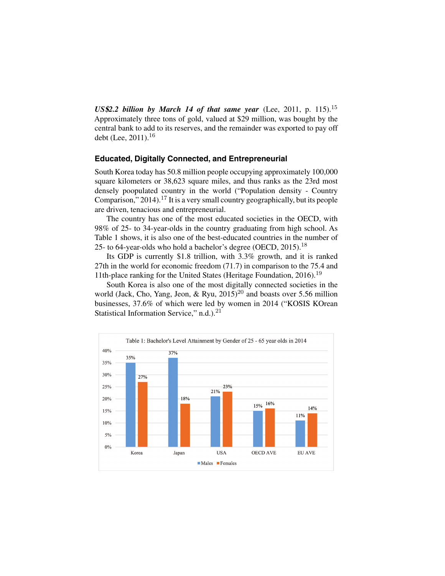US\$2.2 billion by March 14 of that same year (Lee, 2011, p. 115).<sup>15</sup> Approximately three tons of gold, valued at \$29 million, was bought by the central bank to add to its reserves, and the remainder was exported to pay off debt (Lee, 2011).<sup>16</sup>

### **Educated, Digitally Connected, and Entrepreneurial**

South Korea today has 50.8 million people occupying approximately 100,000 square kilometers or 38,623 square miles, and thus ranks as the 23rd most densely poopulated country in the world ("Population density - Country Comparison,"  $2014$ ).<sup>17</sup> It is a very small country geographically, but its people are driven, tenacious and entrepreneurial.

The country has one of the most educated societies in the OECD, with 98% of 25- to 34-year-olds in the country graduating from high school. As Table 1 shows, it is also one of the best-educated countries in the number of 25- to 64-year-olds who hold a bachelor's degree (OECD, 2015).<sup>18</sup>

Its GDP is currently \$1.8 trillion, with 3.3% growth, and it is ranked 27th in the world for economic freedom (71.7) in comparison to the 75.4 and 11th-place ranking for the United States (Heritage Foundation, 2016).<sup>19</sup>

South Korea is also one of the most digitally connected societies in the world (Jack, Cho, Yang, Jeon, & Ryu,  $2015$ )<sup>20</sup> and boasts over 5.56 million businesses, 37.6% of which were led by women in 2014 ("KOSIS KOrean Statistical Information Service," n.d.).<sup>21</sup>

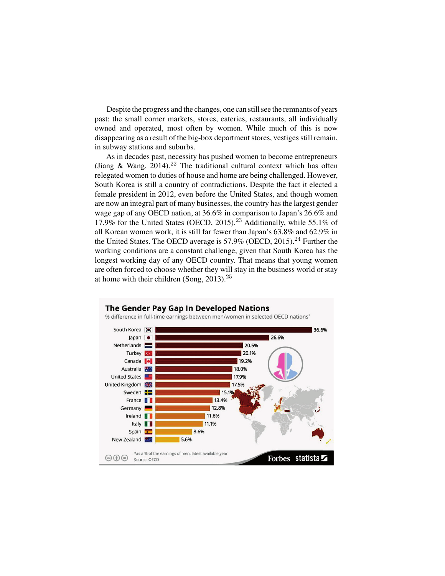Despite the progress and the changes, one can still see the remnants of years past: the small corner markets, stores, eateries, restaurants, all individually owned and operated, most often by women. While much of this is now disappearing as a result of the big-box department stores, vestiges still remain, in subway stations and suburbs.

As in decades past, necessity has pushed women to become entrepreneurs (Jiang & Wang,  $2014$ ).<sup>22</sup> The traditional cultural context which has often relegated women to duties of house and home are being challenged. However, South Korea is still a country of contradictions. Despite the fact it elected a female president in 2012, even before the United States, and though women are now an integral part of many businesses, the country has the largest gender wage gap of any OECD nation, at 36.6% in comparison to Japan's 26.6% and 17.9% for the United States (OECD, 2015).<sup>23</sup> Additionally, while 55.1% of all Korean women work, it is still far fewer than Japan's 63.8% and 62.9% in the United States. The OECD average is  $57.9\%$  (OECD, 2015).<sup>24</sup> Further the working conditions are a constant challenge, given that South Korea has the longest working day of any OECD country. That means that young women are often forced to choose whether they will stay in the business world or stay at home with their children (Song,  $2013$ ).<sup>25</sup>

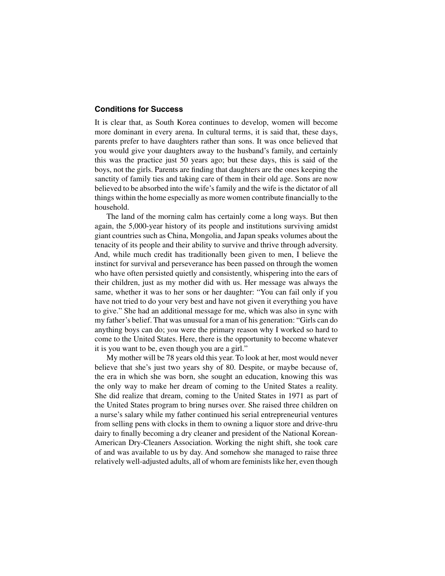### **Conditions for Success**

It is clear that, as South Korea continues to develop, women will become more dominant in every arena. In cultural terms, it is said that, these days, parents prefer to have daughters rather than sons. It was once believed that you would give your daughters away to the husband's family, and certainly this was the practice just 50 years ago; but these days, this is said of the boys, not the girls. Parents are finding that daughters are the ones keeping the sanctity of family ties and taking care of them in their old age. Sons are now believed to be absorbed into the wife's family and the wife is the dictator of all things within the home especially as more women contribute financially to the household.

The land of the morning calm has certainly come a long ways. But then again, the 5,000-year history of its people and institutions surviving amidst giant countries such as China, Mongolia, and Japan speaks volumes about the tenacity of its people and their ability to survive and thrive through adversity. And, while much credit has traditionally been given to men, I believe the instinct for survival and perseverance has been passed on through the women who have often persisted quietly and consistently, whispering into the ears of their children, just as my mother did with us. Her message was always the same, whether it was to her sons or her daughter: "You can fail only if you have not tried to do your very best and have not given it everything you have to give." She had an additional message for me, which was also in sync with my father's belief. That was unusual for a man of his generation: "Girls can do anything boys can do; *you* were the primary reason why I worked so hard to come to the United States. Here, there is the opportunity to become whatever it is you want to be, even though you are a girl."

My mother will be 78 years old this year. To look at her, most would never believe that she's just two years shy of 80. Despite, or maybe because of, the era in which she was born, she sought an education, knowing this was the only way to make her dream of coming to the United States a reality. She did realize that dream, coming to the United States in 1971 as part of the United States program to bring nurses over. She raised three children on a nurse's salary while my father continued his serial entrepreneurial ventures from selling pens with clocks in them to owning a liquor store and drive-thru dairy to finally becoming a dry cleaner and president of the National Korean-American Dry-Cleaners Association. Working the night shift, she took care of and was available to us by day. And somehow she managed to raise three relatively well-adjusted adults, all of whom are feminists like her, even though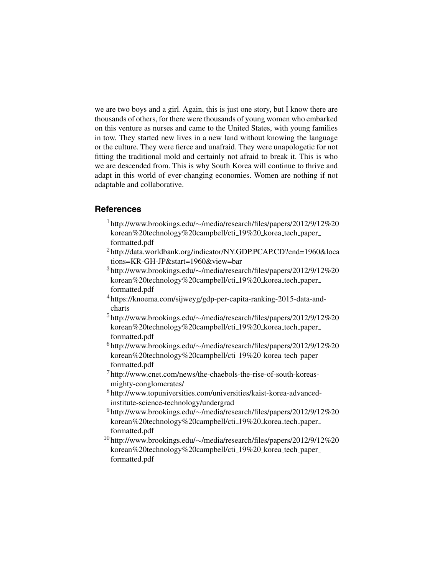we are two boys and a girl. Again, this is just one story, but I know there are thousands of others, for there were thousands of young women who embarked on this venture as nurses and came to the United States, with young families in tow. They started new lives in a new land without knowing the language or the culture. They were fierce and unafraid. They were unapologetic for not fitting the traditional mold and certainly not afraid to break it. This is who we are descended from. This is why South Korea will continue to thrive and adapt in this world of ever-changing economies. Women are nothing if not adaptable and collaborative.

### **References**

- <sup>1</sup> http://www.brookings.edu/∼[/media/research/files/papers/2012/9/12%20](http://www.brookings.edu/%E2%88%BC/media/research/files/papers/2012/9/12%20korean%20technology%20campbell/cti_19_korea_tech_paper_formatted.pdf) korean%20technology%20campbell/cti 19%20 korea tech paper formatted.pdf
- <sup>2</sup> [http://data.worldbank.org/indicator/NY.GDP.PCAP.CD?end=1960&loca](http://data.worldbank.org/indicator/NY.GDP.PCAP.CD?end=1960&locations=KR-GH-JP&start=1960&view=bar) tions=KR-GH-JP&start=1960&view=bar
- <sup>3</sup> http://www.brookings.edu/∼[/media/research/files/papers/2012/9/12%20](http://www.brookings.edu/%E2%88%BC/media/research/files/papers/2012/9/12%20korean%20technology%20campbell/cti_19%20%20korea_tech_paper_formatted.pdf) korean%20technology%20campbell/cti 19%20 korea tech paper formatted.pdf
- <sup>4</sup> [https://knoema.com/sijweyg/gdp-per-capita-ranking-2015-data-and](https://knoema.com/sijweyg/gdp-per-capita-ranking-2015-data-and-charts)charts
- <sup>5</sup> http://www.brookings.edu/∼[/media/research/files/papers/2012/9/12%20](http://www.brookings.edu/~/media/research/files/papers/2012/9/12 korean technology campbell/cti_19_korea_tech_paper_formatted.pdf) korean%20technology%20campbell/cti 19%20 korea tech paper formatted.pdf
- <sup>6</sup> http://www.brookings.edu/∼[/media/research/files/papers/2012/9/12%20](http://www.brookings.edu/~/media/research/files/papers/2012/9/12 korean technology campbell/cti_19_korea_tech_paper_formatted.pdf) korean%20technology%20campbell/cti 19%20 korea tech paper formatted.pdf
- <sup>7</sup> [http://www.cnet.com/news/the-chaebols-the-rise-of-south-koreas](http://www.cnet.com/news/the-chaebols-the-rise-of-south-koreas-mighty-conglomerates/)mighty-conglomerates/
- <sup>8</sup> [http://www.topuniversities.com/universities/kaist-korea-advanced](http://www.topuniversities.com/universities/kaist-korea-advanced-institute-science-technology/undergrad)institute-science-technology/undergrad
- <sup>9</sup> http://www.brookings.edu/∼[/media/research/files/papers/2012/9/12%20](http://www.brookings.edu/~/media/research/files/papers/2012/9/12 korean technology campbell/cti_19_korea_tech_paper_formatted.pdf) korean%20technology%20campbell/cti 19%20 korea tech paper formatted.pdf
- <sup>10</sup> http://www.brookings.edu/∼[/media/research/files/papers/2012/9/12%20](http://www.brookings.edu/~/media/research/files/papers/2012/9/12 korean technology campbell/cti_19_korea_tech_paper_formatted.pdf) korean%20technology%20campbell/cti 19%20 korea tech paper formatted.pdf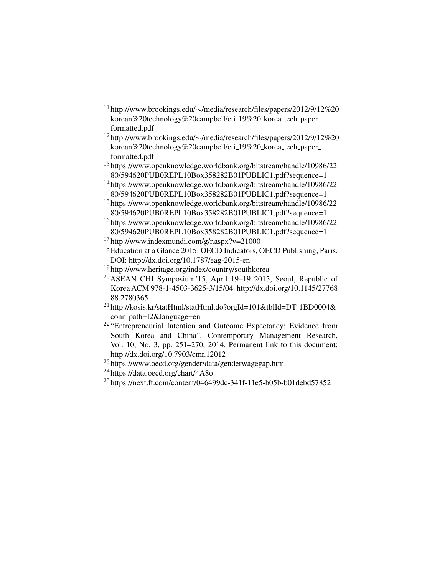- <sup>11</sup> http://www.brookings.edu/∼[/media/research/files/papers/2012/9/12%20](http://www.brookings.edu/~/media/research/files/papers/2012/9/12 korean technology campbell/cti_19_korea_tech_paper_formatted.pdf) korean%20technology%20campbell/cti 19%20 korea tech paper formatted.pdf
- <sup>12</sup> http://www.brookings.edu/∼[/media/research/files/papers/2012/9/12%20](http://www.brookings.edu/~/media/research/files/papers/2012/9/12 korean technology campbell/cti_19_korea_tech_paper_formatted.pdf) korean%20technology%20campbell/cti 19%20 korea tech paper formatted.pdf
- <sup>13</sup> [https://www.openknowledge.worldbank.org/bitstream/handle/10986/22](https://www.openknowledge.worldbank.org/bitstream/handle/10986/2280/594620PUB0REPL10Box358282B01PUBLIC1.pdf?sequence=1) 80/594620PUB0REPL10Box358282B01PUBLIC1.pdf?sequence=1
- <sup>14</sup> [https://www.openknowledge.worldbank.org/bitstream/handle/10986/22](https://www.openknowledge.worldbank.org/bitstream/handle/10986/2280/594620PUB0REPL10Box358282B01PUBLIC1.pdf?sequence=1) 80/594620PUB0REPL10Box358282B01PUBLIC1.pdf?sequence=1
- <sup>15</sup> [https://www.openknowledge.worldbank.org/bitstream/handle/10986/22](https://www.openknowledge.worldbank.org/bitstream/handle/10986/2280/594620PUB0REPL10Box358282B01PUBLIC1.pdf?sequence=1) 80/594620PUB0REPL10Box358282B01PUBLIC1.pdf?sequence=1
- <sup>16</sup> [https://www.openknowledge.worldbank.org/bitstream/handle/10986/22](https://www.openknowledge.worldbank.org/bitstream/handle/10986/2280/594620PUB0REPL10Box358282B01PUBLIC1.pdf?sequence=1) 80/594620PUB0REPL10Box358282B01PUBLIC1.pdf?sequence=1
- $17$  <http://www.indexmundi.com/g/r.aspx?v=21000>
- <sup>18</sup>Education at a Glance 2015: OECD Indicators, OECD Publishing, Paris. DOI:<http://dx.doi.org/10.1787/eag-2015-en>
- <sup>19</sup> <http://www.heritage.org/index/country/southkorea>
- <sup>20</sup>ASEAN CHI Symposium'15, April 19–19 2015, Seoul, Republic of [Korea ACM 978-1-4503-3625-3/15/04. http://dx.doi.org/10.1145/27768](http://dx.doi.org/10.1145/2776888.2780365) 88.2780365
- $^{21}$ [http://kosis.kr/statHtml/statHtml.do?orgId=101&tblId=DT](http://kosis.kr/statHtml/statHtml.do?orgId=101&tblId=DT 1BD0004&conn path=I2&language=en)\_1BD0004& conn path=I2&language=en
- <sup>22</sup> "Entrepreneurial Intention and Outcome Expectancy: Evidence from South Korea and China", Contemporary Management Research, Vol. 10, No. 3, pp. 251–270, 2014. Permanent link to this document: <http://dx.doi.org/10.7903/cmr.12012>
- <sup>23</sup> <https://www.oecd.org/gender/data/genderwagegap.htm>
- <sup>24</sup> <https://data.oecd.org/chart/4A8o>
- <sup>25</sup> <https://next.ft.com/content/046499dc-341f-11e5-b05b-b01debd57852>